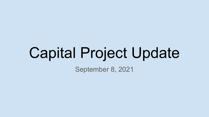# Capital Project Update

September 8, 2021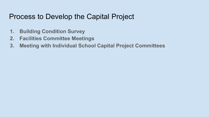### Process to Develop the Capital Project

- **1. Building Condition Survey**
- **2. Facilities Committee Meetings**
- **3. Meeting with Individual School Capital Project Committees**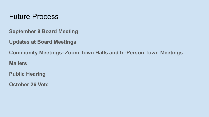#### Future Process

**September 8 Board Meeting**

**Updates at Board Meetings**

**Community Meetings- Zoom Town Halls and In-Person Town Meetings**

**Mailers**

**Public Hearing**

**October 26 Vote**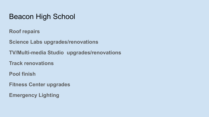#### Beacon High School

**Roof repairs**

**Science Labs upgrades/renovations**

**TV/Multi-media Studio upgrades/renovations**

**Track renovations**

**Pool finish**

**Fitness Center upgrades**

**Emergency Lighting**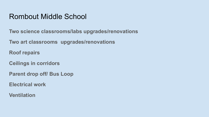## Rombout Middle School

**Two science classrooms/labs upgrades/renovations**

**Two art classrooms upgrades/renovations**

**Roof repairs**

**Ceilings in corridors**

**Parent drop off/ Bus Loop**

**Electrical work**

**Ventilation**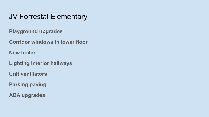# JV Forrestal Elementary

**Playground upgrades**

**Corridor windows in lower floor**

**New boiler**

**Lighting interior hallways**

**Unit ventilators**

**Parking paving**

**ADA upgrades**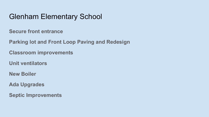# Glenham Elementary School

**Secure front entrance**

**Parking lot and Front Loop Paving and Redesign**

**Classroom improvements**

**Unit ventilators**

**New Boiler**

**Ada Upgrades**

**Septic Improvements**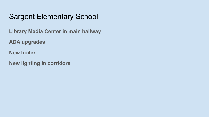# Sargent Elementary School

**Library Media Center in main hallway**

**ADA upgrades**

**New boiler**

**New lighting in corridors**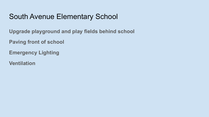# South Avenue Elementary School

**Upgrade playground and play fields behind school**

**Paving front of school**

**Emergency Lighting**

**Ventilation**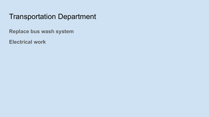# Transportation Department

**Replace bus wash system**

**Electrical work**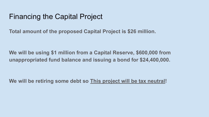#### Financing the Capital Project

**Total amount of the proposed Capital Project is \$26 million.**

**We will be using \$1 million from a Capital Reserve, \$600,000 from unappropriated fund balance and issuing a bond for \$24,400,000.**

**We will be retiring some debt so This project will be tax neutral!**